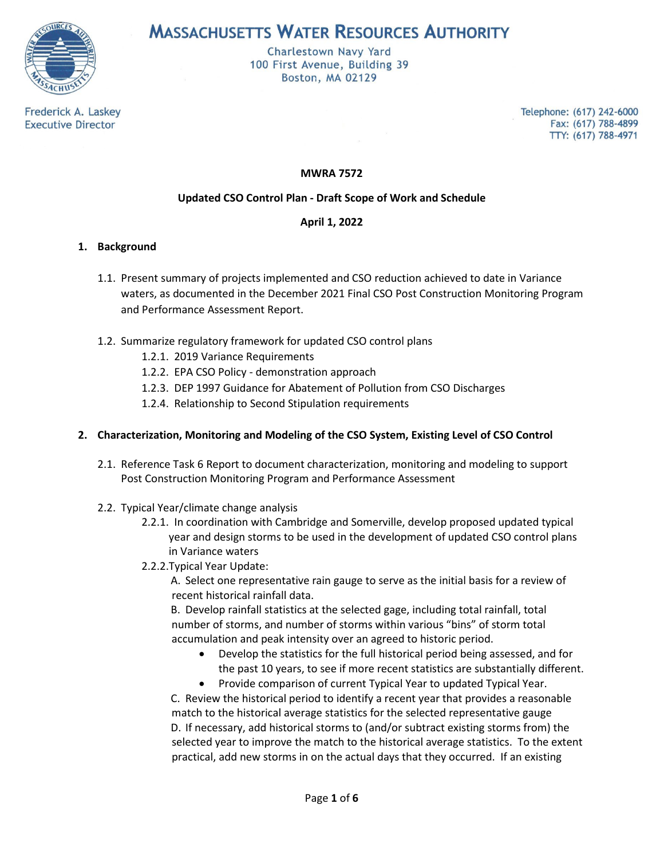

**MASSACHUSETTS WATER RESOURCES AUTHORITY** 

Charlestown Navy Yard 100 First Avenue, Building 39 Boston, MA 02129

Frederick A. Laskey **Executive Director** 

Telephone: (617) 242-6000 Fax: (617) 788-4899 TTY: (617) 788-4971

**MWRA 7572**

# **Updated CSO Control Plan - Draft Scope of Work and Schedule**

## **April 1, 2022**

## **1. Background**

- 1.1. Present summary of projects implemented and CSO reduction achieved to date in Variance waters, as documented in the December 2021 Final CSO Post Construction Monitoring Program and Performance Assessment Report.
- 1.2. Summarize regulatory framework for updated CSO control plans
	- 1.2.1. 2019 Variance Requirements
	- 1.2.2. EPA CSO Policy demonstration approach
	- 1.2.3. DEP 1997 Guidance for Abatement of Pollution from CSO Discharges
	- 1.2.4. Relationship to Second Stipulation requirements

# **2. Characterization, Monitoring and Modeling of the CSO System, Existing Level of CSO Control**

- 2.1. Reference Task 6 Report to document characterization, monitoring and modeling to support Post Construction Monitoring Program and Performance Assessment
- 2.2. Typical Year/climate change analysis
	- 2.2.1. In coordination with Cambridge and Somerville, develop proposed updated typical year and design storms to be used in the development of updated CSO control plans in Variance waters
	- 2.2.2.Typical Year Update:

A. Select one representative rain gauge to serve as the initial basis for a review of recent historical rainfall data.

B. Develop rainfall statistics at the selected gage, including total rainfall, total number of storms, and number of storms within various "bins" of storm total accumulation and peak intensity over an agreed to historic period.

- Develop the statistics for the full historical period being assessed, and for the past 10 years, to see if more recent statistics are substantially different.
- Provide comparison of current Typical Year to updated Typical Year.

C. Review the historical period to identify a recent year that provides a reasonable match to the historical average statistics for the selected representative gauge D. If necessary, add historical storms to (and/or subtract existing storms from) the selected year to improve the match to the historical average statistics. To the extent practical, add new storms in on the actual days that they occurred. If an existing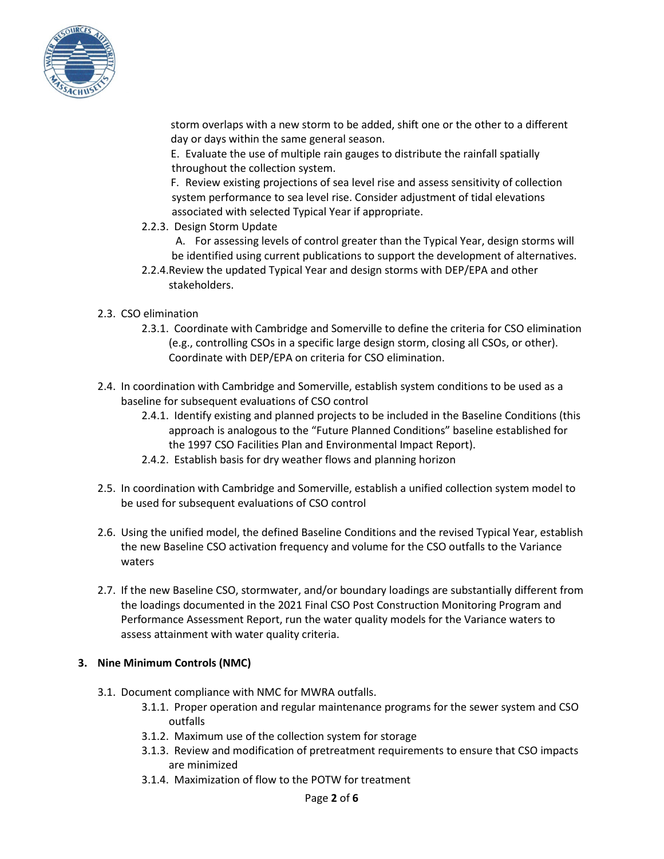

storm overlaps with a new storm to be added, shift one or the other to a different day or days within the same general season.

E. Evaluate the use of multiple rain gauges to distribute the rainfall spatially throughout the collection system.

F. Review existing projections of sea level rise and assess sensitivity of collection system performance to sea level rise. Consider adjustment of tidal elevations associated with selected Typical Year if appropriate.

- 2.2.3. Design Storm Update
	- A. For assessing levels of control greater than the Typical Year, design storms will be identified using current publications to support the development of alternatives.
- 2.2.4.Review the updated Typical Year and design storms with DEP/EPA and other stakeholders.
- 2.3. CSO elimination
	- 2.3.1. Coordinate with Cambridge and Somerville to define the criteria for CSO elimination (e.g., controlling CSOs in a specific large design storm, closing all CSOs, or other). Coordinate with DEP/EPA on criteria for CSO elimination.
- 2.4. In coordination with Cambridge and Somerville, establish system conditions to be used as a baseline for subsequent evaluations of CSO control
	- 2.4.1. Identify existing and planned projects to be included in the Baseline Conditions (this approach is analogous to the "Future Planned Conditions" baseline established for the 1997 CSO Facilities Plan and Environmental Impact Report).
	- 2.4.2. Establish basis for dry weather flows and planning horizon
- 2.5. In coordination with Cambridge and Somerville, establish a unified collection system model to be used for subsequent evaluations of CSO control
- 2.6. Using the unified model, the defined Baseline Conditions and the revised Typical Year, establish the new Baseline CSO activation frequency and volume for the CSO outfalls to the Variance waters
- 2.7. If the new Baseline CSO, stormwater, and/or boundary loadings are substantially different from the loadings documented in the 2021 Final CSO Post Construction Monitoring Program and Performance Assessment Report, run the water quality models for the Variance waters to assess attainment with water quality criteria.

#### **3. Nine Minimum Controls (NMC)**

- 3.1. Document compliance with NMC for MWRA outfalls.
	- 3.1.1. Proper operation and regular maintenance programs for the sewer system and CSO outfalls
	- 3.1.2. Maximum use of the collection system for storage
	- 3.1.3. Review and modification of pretreatment requirements to ensure that CSO impacts are minimized
	- 3.1.4. Maximization of flow to the POTW for treatment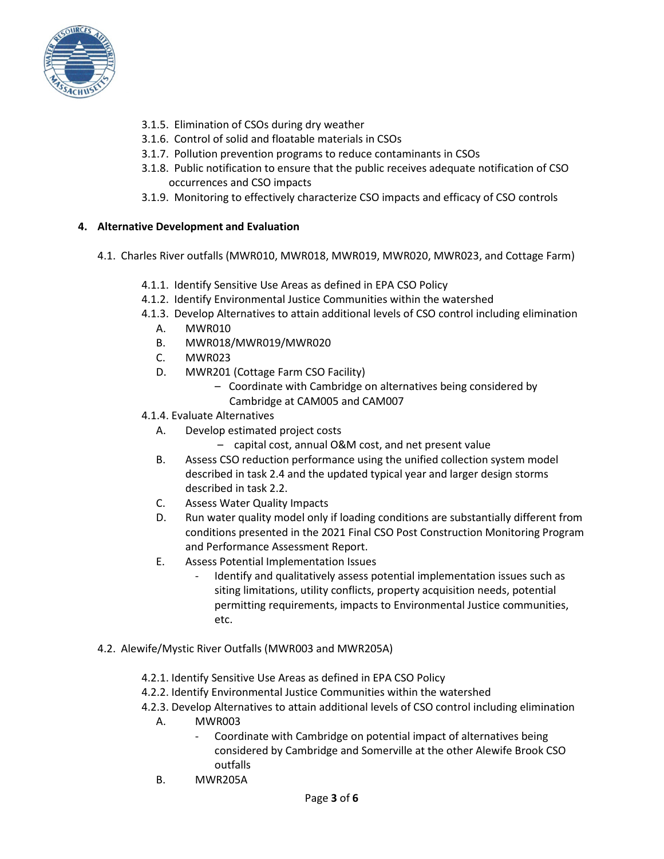

- 3.1.5. Elimination of CSOs during dry weather
- 3.1.6. Control of solid and floatable materials in CSOs
- 3.1.7. Pollution prevention programs to reduce contaminants in CSOs
- 3.1.8. Public notification to ensure that the public receives adequate notification of CSO occurrences and CSO impacts
- 3.1.9. Monitoring to effectively characterize CSO impacts and efficacy of CSO controls

## **4. Alternative Development and Evaluation**

- 4.1. Charles River outfalls (MWR010, MWR018, MWR019, MWR020, MWR023, and Cottage Farm)
	- 4.1.1. Identify Sensitive Use Areas as defined in EPA CSO Policy
	- 4.1.2. Identify Environmental Justice Communities within the watershed
	- 4.1.3. Develop Alternatives to attain additional levels of CSO control including elimination
		- A. MWR010
		- B. MWR018/MWR019/MWR020
		- C. MWR023
		- D. MWR201 (Cottage Farm CSO Facility)
			- Coordinate with Cambridge on alternatives being considered by Cambridge at CAM005 and CAM007
	- 4.1.4. Evaluate Alternatives
		- A. Develop estimated project costs
			- capital cost, annual O&M cost, and net present value
		- B. Assess CSO reduction performance using the unified collection system model described in task 2.4 and the updated typical year and larger design storms described in task 2.2.
		- C. Assess Water Quality Impacts
		- D. Run water quality model only if loading conditions are substantially different from conditions presented in the 2021 Final CSO Post Construction Monitoring Program and Performance Assessment Report.
		- E. Assess Potential Implementation Issues
			- Identify and qualitatively assess potential implementation issues such as siting limitations, utility conflicts, property acquisition needs, potential permitting requirements, impacts to Environmental Justice communities, etc.
- 4.2. Alewife/Mystic River Outfalls (MWR003 and MWR205A)
	- 4.2.1. Identify Sensitive Use Areas as defined in EPA CSO Policy
	- 4.2.2. Identify Environmental Justice Communities within the watershed
	- 4.2.3. Develop Alternatives to attain additional levels of CSO control including elimination
		- A. MWR003
			- Coordinate with Cambridge on potential impact of alternatives being considered by Cambridge and Somerville at the other Alewife Brook CSO outfalls
		- B. MWR205A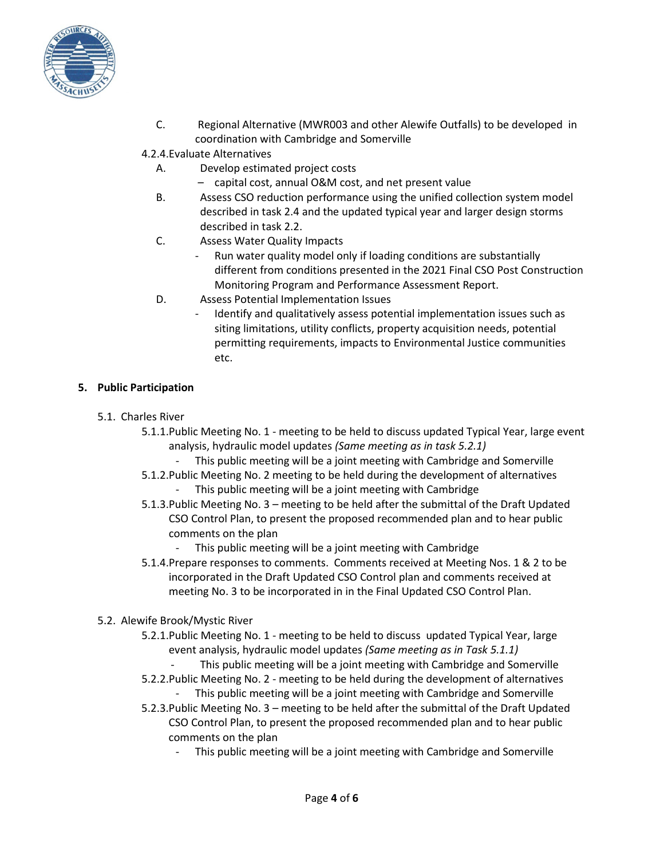

- C. Regional Alternative (MWR003 and other Alewife Outfalls) to be developed in coordination with Cambridge and Somerville
- 4.2.4.Evaluate Alternatives
	- A. Develop estimated project costs
		- capital cost, annual O&M cost, and net present value
	- B. Assess CSO reduction performance using the unified collection system model described in task 2.4 and the updated typical year and larger design storms described in task 2.2.
	- C. Assess Water Quality Impacts
		- Run water quality model only if loading conditions are substantially different from conditions presented in the 2021 Final CSO Post Construction Monitoring Program and Performance Assessment Report.
	- D. Assess Potential Implementation Issues
		- Identify and qualitatively assess potential implementation issues such as siting limitations, utility conflicts, property acquisition needs, potential permitting requirements, impacts to Environmental Justice communities etc.

## **5. Public Participation**

- 5.1. Charles River
	- 5.1.1.Public Meeting No. 1 meeting to be held to discuss updated Typical Year, large event analysis, hydraulic model updates *(Same meeting as in task 5.2.1)*
		- This public meeting will be a joint meeting with Cambridge and Somerville
	- 5.1.2.Public Meeting No. 2 meeting to be held during the development of alternatives This public meeting will be a joint meeting with Cambridge
	- 5.1.3.Public Meeting No. 3 meeting to be held after the submittal of the Draft Updated CSO Control Plan, to present the proposed recommended plan and to hear public comments on the plan
		- This public meeting will be a joint meeting with Cambridge
	- 5.1.4.Prepare responses to comments. Comments received at Meeting Nos. 1 & 2 to be incorporated in the Draft Updated CSO Control plan and comments received at meeting No. 3 to be incorporated in in the Final Updated CSO Control Plan.
- 5.2. Alewife Brook/Mystic River
	- 5.2.1.Public Meeting No. 1 meeting to be held to discuss updated Typical Year, large event analysis, hydraulic model updates *(Same meeting as in Task 5.1.1)*
		- This public meeting will be a joint meeting with Cambridge and Somerville
	- 5.2.2.Public Meeting No. 2 meeting to be held during the development of alternatives This public meeting will be a joint meeting with Cambridge and Somerville
	- 5.2.3.Public Meeting No. 3 meeting to be held after the submittal of the Draft Updated CSO Control Plan, to present the proposed recommended plan and to hear public comments on the plan
		- This public meeting will be a joint meeting with Cambridge and Somerville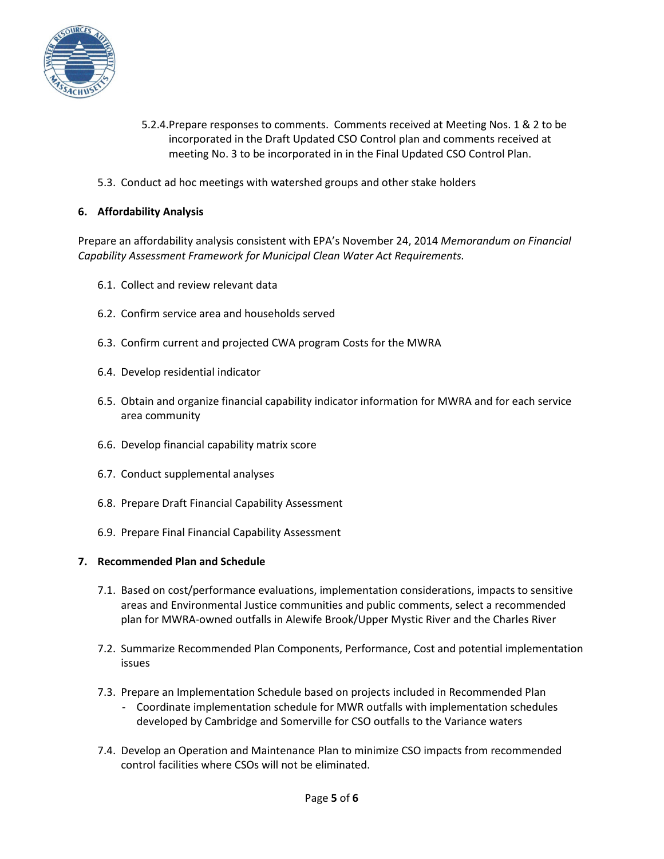

- 5.2.4.Prepare responses to comments. Comments received at Meeting Nos. 1 & 2 to be incorporated in the Draft Updated CSO Control plan and comments received at meeting No. 3 to be incorporated in in the Final Updated CSO Control Plan.
- 5.3. Conduct ad hoc meetings with watershed groups and other stake holders

## **6. Affordability Analysis**

Prepare an affordability analysis consistent with EPA's November 24, 2014 *Memorandum on Financial Capability Assessment Framework for Municipal Clean Water Act Requirements.* 

- 6.1. Collect and review relevant data
- 6.2. Confirm service area and households served
- 6.3. Confirm current and projected CWA program Costs for the MWRA
- 6.4. Develop residential indicator
- 6.5. Obtain and organize financial capability indicator information for MWRA and for each service area community
- 6.6. Develop financial capability matrix score
- 6.7. Conduct supplemental analyses
- 6.8. Prepare Draft Financial Capability Assessment
- 6.9. Prepare Final Financial Capability Assessment

#### **7. Recommended Plan and Schedule**

- 7.1. Based on cost/performance evaluations, implementation considerations, impacts to sensitive areas and Environmental Justice communities and public comments, select a recommended plan for MWRA-owned outfalls in Alewife Brook/Upper Mystic River and the Charles River
- 7.2. Summarize Recommended Plan Components, Performance, Cost and potential implementation issues
- 7.3. Prepare an Implementation Schedule based on projects included in Recommended Plan
	- Coordinate implementation schedule for MWR outfalls with implementation schedules developed by Cambridge and Somerville for CSO outfalls to the Variance waters
- 7.4. Develop an Operation and Maintenance Plan to minimize CSO impacts from recommended control facilities where CSOs will not be eliminated.